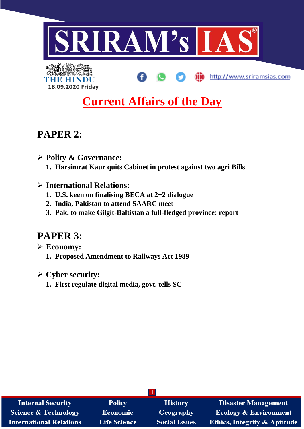

# **Current Affairs of the Day**

# **PAPER 2:**

THE HI

➢ **Polity & Governance:**

**18.09.2020 Friday**

- **1. Harsimrat Kaur quits Cabinet in protest against two agri Bills**
- ➢ **International Relations:**
	- **1. U.S. keen on finalising BECA at 2+2 dialogue**
	- **2. India, Pakistan to attend SAARC meet**
	- **3. Pak. to make Gilgit-Baltistan a full-fledged province: report**

# **PAPER 3:**

- ➢ **Economy:**
	- **1. Proposed Amendment to Railways Act 1989**
- ➢ **Cyber security:**
	- **1. First regulate digital media, govt. tells SC**

| <b>Internal Security</b>       | <b>Polity</b>       | <b>History</b>       | <b>Disaster Management</b>              |  |
|--------------------------------|---------------------|----------------------|-----------------------------------------|--|
| Science & Technology           | <b>Economic</b>     | <b>Geography</b>     | <b>Ecology &amp; Environment</b>        |  |
| <b>International Relations</b> | <b>Life Science</b> | <b>Social Issues</b> | <b>Ethics, Integrity &amp; Aptitude</b> |  |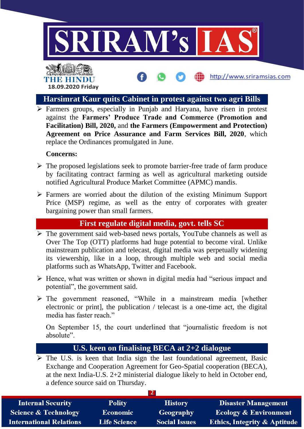

# THE HINDO **18.09.2020 Friday**

#### **Harsimrat Kaur quits Cabinet in protest against two agri Bills**

http://www.sriramsias.com

➢ Farmers groups, especially in Punjab and Haryana, have risen in protest against the **Farmers' Produce Trade and Commerce (Promotion and Facilitation) Bill, 2020,** and **the Farmers (Empowerment and Protection) Agreement on Price Assurance and Farm Services Bill, 2020**, which replace the Ordinances promulgated in June.

#### **Concerns:**

- ➢ The proposed legislations seek to promote barrier-free trade of farm produce by facilitating contract farming as well as agricultural marketing outside notified Agricultural Produce Market Committee (APMC) mandis.
- ➢ Farmers are worried about the dilution of the existing Minimum Support Price (MSP) regime, as well as the entry of corporates with greater bargaining power than small farmers.

# **First regulate digital media, govt. tells SC**

- ➢ The government said web-based news portals, YouTube channels as well as Over The Top (OTT) platforms had huge potential to become viral. Unlike mainstream publication and telecast, digital media was perpetually widening its viewership, like in a loop, through multiple web and social media platforms such as WhatsApp, Twitter and Facebook.
- ➢ Hence, what was written or shown in digital media had "serious impact and potential", the government said.
- ➢ The government reasoned, "While in a mainstream media [whether electronic or print], the publication / telecast is a one-time act, the digital media has faster reach."

On September 15, the court underlined that "journalistic freedom is not absolute".

# **U.S. keen on finalising BECA at 2+2 dialogue**

➢ The U.S. is keen that India sign the last foundational agreement, Basic Exchange and Cooperation Agreement for Geo-Spatial cooperation (BECA), at the next India-U.S. 2+2 ministerial dialogue likely to held in October end, a defence source said on Thursday.

| <b>Internal Security</b>        | <b>Polity</b>       | <b>History</b>       | <b>Disaster Management</b>              |  |
|---------------------------------|---------------------|----------------------|-----------------------------------------|--|
| <b>Science &amp; Technology</b> | <b>Economic</b>     | Geography            | <b>Ecology &amp; Environment</b>        |  |
| <b>International Relations</b>  | <b>Life Science</b> | <b>Social Issues</b> | <b>Ethics, Integrity &amp; Aptitude</b> |  |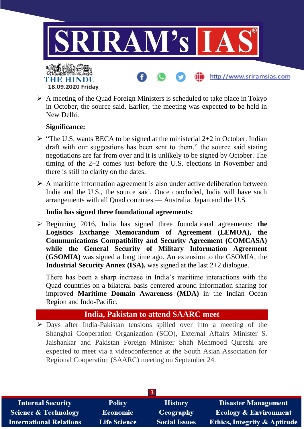

➢ A meeting of the Quad Foreign Ministers is scheduled to take place in Tokyo in October, the source said. Earlier, the meeting was expected to be held in New Delhi.

#### **Significance:**

- $\triangleright$  "The U.S. wants BECA to be signed at the ministerial 2+2 in October. Indian draft with our suggestions has been sent to them," the source said stating negotiations are far from over and it is unlikely to be signed by October. The timing of the 2+2 comes just before the U.S. elections in November and there is still no clarity on the dates.
- ➢ A maritime information agreement is also under active deliberation between India and the U.S., the source said. Once concluded, India will have such arrangements with all Quad countries — Australia, Japan and the U.S.

#### **India has signed three foundational agreements:**

➢ Beginning 2016, India has signed three foundational agreements: **the Logistics Exchange Memorandum of Agreement (LEMOA), the Communications Compatibility and Security Agreement (COMCASA) while the General Security of Military Information Agreement (GSOMIA)** was signed a long time ago. An extension to the GSOMIA, the **Industrial Security Annex (ISA),** was signed at the last 2+2 dialogue.

There has been a sharp increase in India's maritime interactions with the Quad countries on a bilateral basis centered around information sharing for improved **Maritime Domain Awareness (MDA)** in the Indian Ocean Region and Indo-Pacific.

## **India, Pakistan to attend SAARC meet**

➢ Days after India-Pakistan tensions spilled over into a meeting of the Shanghai Cooperation Organization (SCO), External Affairs Minister S. Jaishankar and Pakistan Foreign Minister Shah Mehmood Qureshi are expected to meet via a videoconference at the South Asian Association for Regional Cooperation (SAARC) meeting on September 24.

| <b>Internal Security</b>        | <b>Polity</b>       | <b>History</b>       | <b>Disaster Management</b>              |  |
|---------------------------------|---------------------|----------------------|-----------------------------------------|--|
| <b>Science &amp; Technology</b> | <b>Economic</b>     | Geography            | <b>Ecology &amp; Environment</b>        |  |
| <b>International Relations</b>  | <b>Life Science</b> | <b>Social Issues</b> | <b>Ethics, Integrity &amp; Aptitude</b> |  |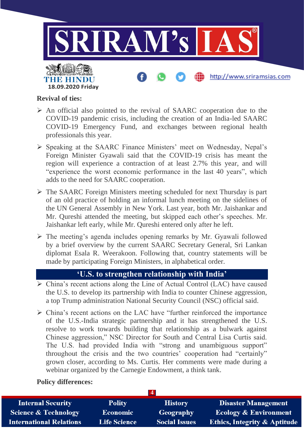

#### **Revival of ties:**

- ➢ An official also pointed to the revival of SAARC cooperation due to the COVID-19 pandemic crisis, including the creation of an India-led SAARC COVID-19 Emergency Fund, and exchanges between regional health professionals this year.
- ➢ Speaking at the SAARC Finance Ministers' meet on Wednesday, Nepal's Foreign Minister Gyawali said that the COVID-19 crisis has meant the region will experience a contraction of at least 2.7% this year, and will "experience the worst economic performance in the last 40 years", which adds to the need for SAARC cooperation.
- ➢ The SAARC Foreign Ministers meeting scheduled for next Thursday is part of an old practice of holding an informal lunch meeting on the sidelines of the UN General Assembly in New York. Last year, both Mr. Jaishankar and Mr. Qureshi attended the meeting, but skipped each other's speeches. Mr. Jaishankar left early, while Mr. Qureshi entered only after he left.
- ➢ The meeting's agenda includes opening remarks by Mr. Gyawali followed by a brief overview by the current SAARC Secretary General, Sri Lankan diplomat Esala R. Weerakoon. Following that, country statements will be made by participating Foreign Ministers, in alphabetical order.

## **'U.S. to strengthen relationship with India'**

- ➢ China's recent actions along the Line of Actual Control (LAC) have caused the U.S. to develop its partnership with India to counter Chinese aggression, a top Trump administration National Security Council (NSC) official said.
- ➢ China's recent actions on the LAC have "further reinforced the importance of the U.S.-India strategic partnership and it has strengthened the U.S. resolve to work towards building that relationship as a bulwark against Chinese aggression," NSC Director for South and Central Lisa Curtis said. The U.S. had provided India with "strong and unambiguous support" throughout the crisis and the two countries' cooperation had "certainly" grown closer, according to Ms. Curtis. Her comments were made during a webinar organized by the Carnegie Endowment, a think tank.

#### **Policy differences:**

| <b>Internal Security</b>        | <b>Polity</b>       | <b>History</b>       | <b>Disaster Management</b>              |  |
|---------------------------------|---------------------|----------------------|-----------------------------------------|--|
| <b>Science &amp; Technology</b> | <b>Economic</b>     | Geography            | <b>Ecology &amp; Environment</b>        |  |
| <b>International Relations</b>  | <b>Life Science</b> | <b>Social Issues</b> | <b>Ethics, Integrity &amp; Aptitude</b> |  |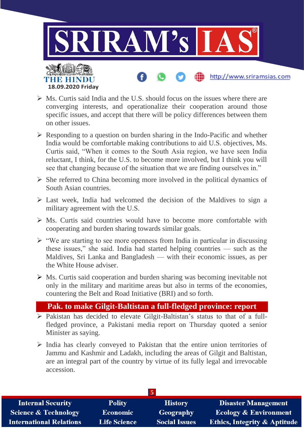

- $\triangleright$  Ms. Curtis said India and the U.S. should focus on the issues where there are converging interests, and operationalize their cooperation around those specific issues, and accept that there will be policy differences between them on other issues.
- $\triangleright$  Responding to a question on burden sharing in the Indo-Pacific and whether India would be comfortable making contributions to aid U.S. objectives, Ms. Curtis said, "When it comes to the South Asia region, we have seen India reluctant, I think, for the U.S. to become more involved, but I think you will see that changing because of the situation that we are finding ourselves in."
- ➢ She referred to China becoming more involved in the political dynamics of South Asian countries.
- ➢ Last week, India had welcomed the decision of the Maldives to sign a military agreement with the U.S.
- $\triangleright$  Ms. Curtis said countries would have to become more comfortable with cooperating and burden sharing towards similar goals.
- $\triangleright$  "We are starting to see more openness from India in particular in discussing these issues," she said. India had started helping countries — such as the Maldives, Sri Lanka and Bangladesh — with their economic issues, as per the White House adviser.
- ➢ Ms. Curtis said cooperation and burden sharing was becoming inevitable not only in the military and maritime areas but also in terms of the economies, countering the Belt and Road Initiative (BRI) and so forth.

## **Pak. to make Gilgit-Baltistan a full-fledged province: report**

- ➢ Pakistan has decided to elevate Gilgit-Baltistan's status to that of a fullfledged province, a Pakistani media report on Thursday quoted a senior Minister as saying.
- ➢ India has clearly conveyed to Pakistan that the entire union territories of Jammu and Kashmir and Ladakh, including the areas of Gilgit and Baltistan, are an integral part of the country by virtue of its fully legal and irrevocable accession.

| Э                               |                     |                      |                                         |  |
|---------------------------------|---------------------|----------------------|-----------------------------------------|--|
| <b>Internal Security</b>        | <b>Polity</b>       | <b>History</b>       | <b>Disaster Management</b>              |  |
| <b>Science &amp; Technology</b> | <b>Economic</b>     | Geography            | Ecology & Environment                   |  |
| <b>International Relations</b>  | <b>Life Science</b> | <b>Social Issues</b> | <b>Ethics, Integrity &amp; Aptitude</b> |  |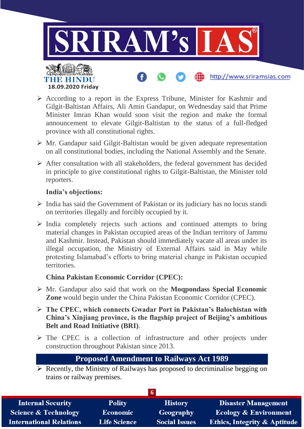

- ➢ According to a report in the Express Tribune, Minister for Kashmir and Gilgit-Baltistan Affairs, Ali Amin Gandapur, on Wednesday said that Prime Minister Imran Khan would soon visit the region and make the formal announcement to elevate Gilgit-Baltistan to the status of a full-fledged province with all constitutional rights.
- ➢ Mr. Gandapur said Gilgit-Baltistan would be given adequate representation on all constitutional bodies, including the National Assembly and the Senate.
- $\triangleright$  After consultation with all stakeholders, the federal government has decided in principle to give constitutional rights to Gilgit-Baltistan, the Minister told reporters.

#### **India's objections:**

- $\triangleright$  India has said the Government of Pakistan or its judiciary has no locus standi on territories illegally and forcibly occupied by it.
- ➢ India completely rejects such actions and continued attempts to bring material changes in Pakistan occupied areas of the Indian territory of Jammu and Kashmir. Instead, Pakistan should immediately vacate all areas under its illegal occupation, the Ministry of External Affairs said in May while protesting Islamabad's efforts to bring material change in Pakistan occupied territories.

#### **China Pakistan Economic Corridor (CPEC):**

- ➢ Mr. Gandapur also said that work on the **Moqpondass Special Economic Zone** would begin under the China Pakistan Economic Corridor (CPEC).
- ➢ **The CPEC, which connects Gwadar Port in Pakistan's Balochistan with China's Xinjiang province, is the flagship project of Beijing's ambitious Belt and Road Initiative (BRI)**.
- ➢ The CPEC is a collection of infrastructure and other projects under construction throughout Pakistan since 2013.

## **Proposed Amendment to Railways Act 1989**

➢ Recently, the Ministry of Railways has proposed to decriminalise begging on trains or railway premises.

| <b>Internal Security</b>        | <b>Polity</b>       | <b>History</b>       | <b>Disaster Management</b>              |  |
|---------------------------------|---------------------|----------------------|-----------------------------------------|--|
| <b>Science &amp; Technology</b> | <b>Economic</b>     | <b>Geography</b>     | <b>Ecology &amp; Environment</b>        |  |
| <b>International Relations</b>  | <b>Life Science</b> | <b>Social Issues</b> | <b>Ethics, Integrity &amp; Aptitude</b> |  |